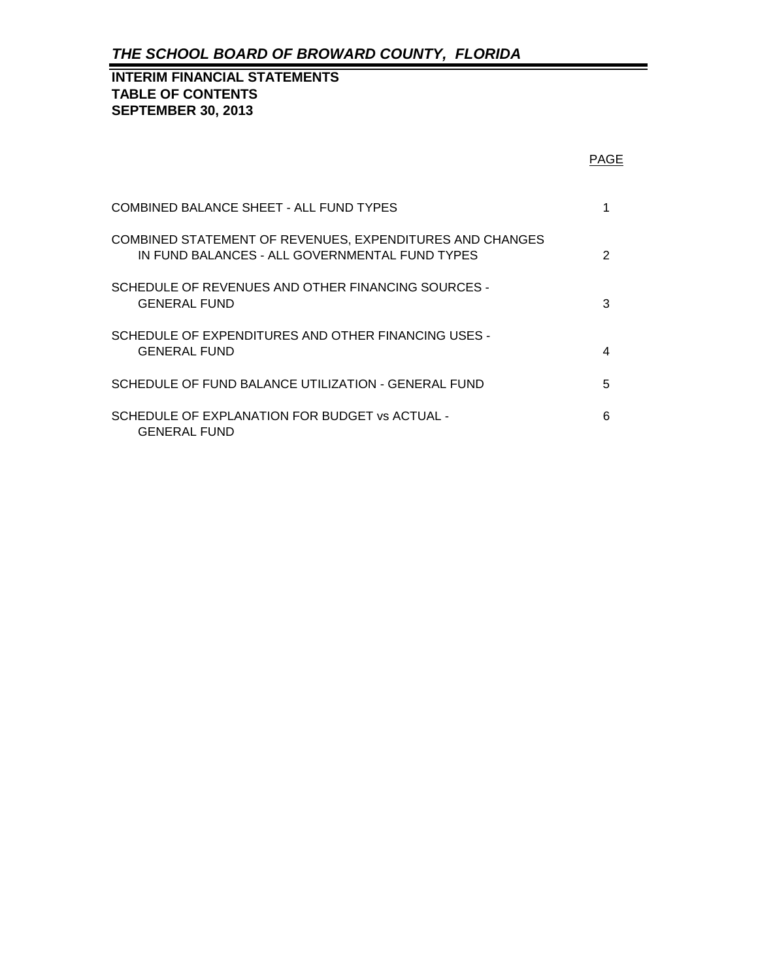## **INTERIM FINANCIAL STATEMENTS TABLE OF CONTENTS SEPTEMBER 30, 2013**

|                                                                                                            | <b>PAGE</b>   |
|------------------------------------------------------------------------------------------------------------|---------------|
| COMBINED BALANCE SHEET - ALL FUND TYPES                                                                    | 1             |
| COMBINED STATEMENT OF REVENUES, EXPENDITURES AND CHANGES<br>IN FUND BALANCES - ALL GOVERNMENTAL FUND TYPES | $\mathcal{P}$ |
| SCHEDULE OF REVENUES AND OTHER FINANCING SOURCES -<br><b>GENERAL FUND</b>                                  | 3             |
| SCHEDULE OF EXPENDITURES AND OTHER FINANCING USES -<br><b>GENERAL FUND</b>                                 | 4             |
| SCHEDULE OF FUND BALANCE UTILIZATION - GENERAL FUND                                                        | 5             |
| SCHEDULE OF EXPLANATION FOR BUDGET vs ACTUAL -<br><b>GENERAL FUND</b>                                      | ิค            |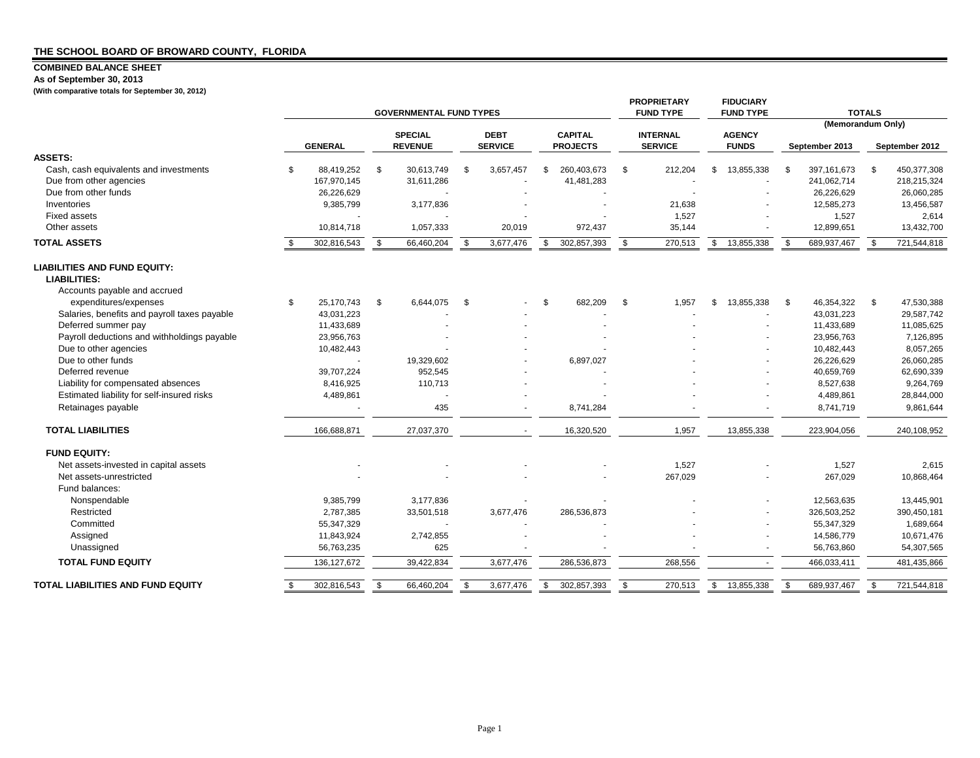### **COMBINED BALANCE SHEET**

**As of September 30, 2013**

**(With comparative totals for September 30, 2012)**

|                                              |     | <b>GOVERNMENTAL FUND TYPES</b> |                |                |             |                |                |                 |                 | <b>PROPRIETARY</b><br><b>FUND TYPE</b> |               | <b>FIDUCIARY</b><br><b>FUND TYPE</b> | <b>TOTALS</b>     |                |      |                |  |
|----------------------------------------------|-----|--------------------------------|----------------|----------------|-------------|----------------|----------------|-----------------|-----------------|----------------------------------------|---------------|--------------------------------------|-------------------|----------------|------|----------------|--|
|                                              |     |                                | <b>SPECIAL</b> |                | <b>DEBT</b> |                | <b>CAPITAL</b> |                 | <b>INTERNAL</b> |                                        | <b>AGENCY</b> |                                      | (Memorandum Only) |                |      |                |  |
|                                              |     | <b>GENERAL</b>                 |                | <b>REVENUE</b> |             | <b>SERVICE</b> |                | <b>PROJECTS</b> |                 | <b>SERVICE</b>                         |               | <b>FUNDS</b>                         |                   | September 2013 |      | September 2012 |  |
| <b>ASSETS:</b>                               |     |                                |                |                |             |                |                |                 |                 |                                        |               |                                      |                   |                |      |                |  |
| Cash, cash equivalents and investments       | -\$ | 88.419.252                     | \$             | 30.613.749     | \$          | 3,657,457      | \$             | 260,403,673     | \$              | 212,204                                | \$            | 13,855,338                           | - \$              | 397, 161, 673  | \$   | 450,377,308    |  |
| Due from other agencies                      |     | 167,970,145                    |                | 31,611,286     |             |                |                | 41,481,283      |                 |                                        |               |                                      |                   | 241,062,714    |      | 218,215,324    |  |
| Due from other funds                         |     | 26,226,629                     |                |                |             |                |                |                 |                 |                                        |               |                                      |                   | 26,226,629     |      | 26,060,285     |  |
| Inventories                                  |     | 9,385,799                      |                | 3,177,836      |             |                |                |                 |                 | 21,638                                 |               |                                      |                   | 12,585,273     |      | 13,456,587     |  |
| <b>Fixed assets</b>                          |     |                                |                |                |             |                |                |                 |                 | 1,527                                  |               |                                      |                   | 1,527          |      | 2,614          |  |
| Other assets                                 |     | 10,814,718                     |                | 1,057,333      |             | 20,019         |                | 972,437         |                 | 35,144                                 |               |                                      |                   | 12,899,651     |      | 13,432,700     |  |
| <b>TOTAL ASSETS</b>                          |     | 302,816,543                    | \$             | 66,460,204     | -\$         | 3,677,476      | \$             | 302,857,393     | -\$             | 270,513                                | \$            | 13,855,338                           | \$                | 689,937,467    | \$.  | 721,544,818    |  |
| <b>LIABILITIES AND FUND EQUITY:</b>          |     |                                |                |                |             |                |                |                 |                 |                                        |               |                                      |                   |                |      |                |  |
| <b>LIABILITIES:</b>                          |     |                                |                |                |             |                |                |                 |                 |                                        |               |                                      |                   |                |      |                |  |
| Accounts payable and accrued                 |     |                                |                |                |             |                |                |                 |                 |                                        |               |                                      |                   |                |      |                |  |
| expenditures/expenses                        | \$  | 25,170,743                     | \$             | 6,644,075      | -\$         |                | \$             | 682,209         | -\$             | 1,957                                  | \$            | 13,855,338                           | - \$              | 46,354,322     | - \$ | 47,530,388     |  |
| Salaries, benefits and payroll taxes payable |     | 43,031,223                     |                |                |             |                |                |                 |                 |                                        |               |                                      |                   | 43,031,223     |      | 29,587,742     |  |
| Deferred summer pay                          |     | 11,433,689                     |                |                |             |                |                |                 |                 |                                        |               |                                      |                   | 11,433,689     |      | 11,085,625     |  |
| Payroll deductions and withholdings payable  |     | 23,956,763                     |                |                |             |                |                |                 |                 |                                        |               |                                      |                   | 23,956,763     |      | 7,126,895      |  |
| Due to other agencies                        |     | 10,482,443                     |                |                |             |                |                |                 |                 |                                        |               |                                      |                   | 10,482,443     |      | 8,057,265      |  |
| Due to other funds                           |     |                                |                | 19,329,602     |             |                |                | 6,897,027       |                 |                                        |               |                                      |                   | 26,226,629     |      | 26,060,285     |  |
| Deferred revenue                             |     | 39,707,224                     |                | 952.545        |             |                |                |                 |                 |                                        |               |                                      |                   | 40,659,769     |      | 62,690,339     |  |
| Liability for compensated absences           |     | 8,416,925                      |                | 110,713        |             |                |                |                 |                 |                                        |               |                                      |                   | 8,527,638      |      | 9,264,769      |  |
| Estimated liability for self-insured risks   |     | 4,489,861                      |                |                |             |                |                |                 |                 |                                        |               |                                      |                   | 4,489,861      |      | 28,844,000     |  |
| Retainages payable                           |     |                                |                | 435            |             |                |                | 8,741,284       |                 |                                        |               |                                      |                   | 8,741,719      |      | 9,861,644      |  |
| <b>TOTAL LIABILITIES</b>                     |     | 166,688,871                    |                | 27,037,370     |             |                |                | 16,320,520      |                 | 1,957                                  |               | 13,855,338                           |                   | 223,904,056    |      | 240,108,952    |  |
| <b>FUND EQUITY:</b>                          |     |                                |                |                |             |                |                |                 |                 |                                        |               |                                      |                   |                |      |                |  |
| Net assets-invested in capital assets        |     |                                |                |                |             |                |                |                 |                 | 1,527                                  |               |                                      |                   | 1,527          |      | 2,615          |  |
| Net assets-unrestricted                      |     |                                |                |                |             |                |                |                 |                 | 267,029                                |               |                                      |                   | 267,029        |      | 10,868,464     |  |
| Fund balances:                               |     |                                |                |                |             |                |                |                 |                 |                                        |               |                                      |                   |                |      |                |  |
| Nonspendable                                 |     | 9,385,799                      |                | 3,177,836      |             |                |                |                 |                 |                                        |               |                                      |                   | 12,563,635     |      | 13,445,901     |  |
| Restricted                                   |     | 2,787,385                      |                | 33,501,518     |             | 3,677,476      |                | 286,536,873     |                 |                                        |               |                                      |                   | 326,503,252    |      | 390,450,181    |  |
| Committed                                    |     | 55,347,329                     |                |                |             |                |                |                 |                 |                                        |               |                                      |                   | 55,347,329     |      | 1,689,664      |  |
| Assigned                                     |     | 11,843,924                     |                | 2,742,855      |             |                |                |                 |                 |                                        |               |                                      |                   | 14,586,779     |      | 10,671,476     |  |
| Unassigned                                   |     | 56,763,235                     |                | 625            |             |                |                |                 |                 |                                        |               |                                      |                   | 56,763,860     |      | 54,307,565     |  |
| <b>TOTAL FUND EQUITY</b>                     |     | 136, 127, 672                  |                | 39,422,834     |             | 3,677,476      |                | 286,536,873     |                 | 268,556                                |               |                                      |                   | 466,033,411    |      | 481,435,866    |  |
| <b>TOTAL LIABILITIES AND FUND EQUITY</b>     | \$  | 302,816,543                    | \$             | 66,460,204     | \$          | 3,677,476      | $\mathfrak{L}$ | 302,857,393     | \$              | 270,513                                | \$            | 13.855.338                           | - \$              | 689,937,467    | -S   | 721,544,818    |  |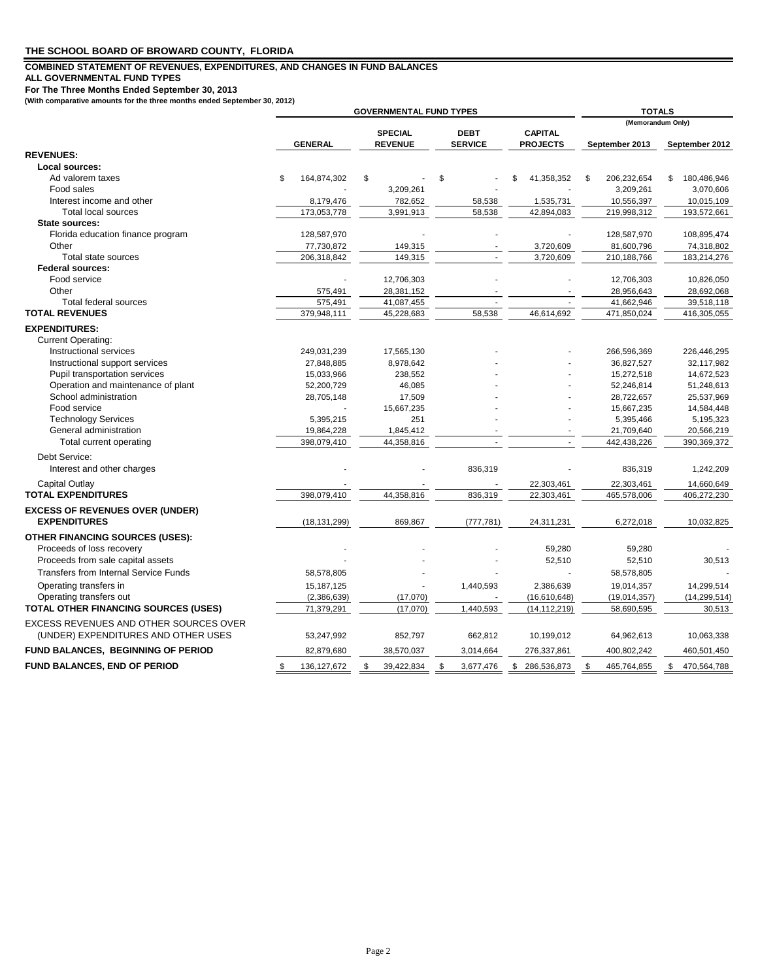### **COMBINED STATEMENT OF REVENUES, EXPENDITURES, AND CHANGES IN FUND BALANCES**

**ALL GOVERNMENTAL FUND TYPES**

**For The Three Months Ended September 30, 2013 (With comparative amounts for the three months ended September 30, 2012)**

|                                              | <b>GOVERNMENTAL FUND TYPES</b> |                |    |                |     |                |    |                 |                   | <b>TOTALS</b>  |    |                |  |  |
|----------------------------------------------|--------------------------------|----------------|----|----------------|-----|----------------|----|-----------------|-------------------|----------------|----|----------------|--|--|
|                                              |                                |                |    |                |     |                |    |                 | (Memorandum Only) |                |    |                |  |  |
|                                              |                                |                |    | <b>SPECIAL</b> |     | <b>DEBT</b>    |    | <b>CAPITAL</b>  |                   |                |    |                |  |  |
|                                              |                                | <b>GENERAL</b> |    | <b>REVENUE</b> |     | <b>SERVICE</b> |    | <b>PROJECTS</b> |                   | September 2013 |    | September 2012 |  |  |
| <b>REVENUES:</b>                             |                                |                |    |                |     |                |    |                 |                   |                |    |                |  |  |
| Local sources:                               |                                |                |    |                |     |                |    |                 |                   |                |    |                |  |  |
| Ad valorem taxes                             | \$                             | 164,874,302    | \$ |                | \$  |                | \$ | 41,358,352      | \$                | 206,232,654    | \$ | 180,486,946    |  |  |
| Food sales                                   |                                |                |    | 3,209,261      |     |                |    |                 |                   | 3,209,261      |    | 3,070,606      |  |  |
| Interest income and other                    |                                | 8,179,476      |    | 782,652        |     | 58,538         |    | 1,535,731       |                   | 10,556,397     |    | 10,015,109     |  |  |
| <b>Total local sources</b>                   |                                | 173,053,778    |    | 3,991,913      |     | 58,538         |    | 42,894,083      |                   | 219,998,312    |    | 193,572,661    |  |  |
| State sources:                               |                                |                |    |                |     |                |    |                 |                   |                |    |                |  |  |
| Florida education finance program            |                                | 128,587,970    |    |                |     |                |    |                 |                   | 128,587,970    |    | 108,895,474    |  |  |
| Other                                        |                                | 77,730,872     |    | 149,315        |     |                |    | 3,720,609       |                   | 81,600,796     |    | 74,318,802     |  |  |
| Total state sources                          |                                | 206,318,842    |    | 149,315        |     |                |    | 3,720,609       |                   | 210,188,766    |    | 183,214,276    |  |  |
| <b>Federal sources:</b>                      |                                |                |    |                |     |                |    |                 |                   |                |    |                |  |  |
| Food service                                 |                                |                |    | 12,706,303     |     |                |    |                 |                   | 12,706,303     |    | 10,826,050     |  |  |
| Other                                        |                                | 575,491        |    | 28,381,152     |     |                |    |                 |                   | 28,956,643     |    | 28,692,068     |  |  |
| Total federal sources                        |                                | 575,491        |    | 41,087,455     |     |                |    |                 |                   | 41,662,946     |    | 39,518,118     |  |  |
| <b>TOTAL REVENUES</b>                        |                                | 379,948,111    |    | 45,228,683     |     | 58,538         |    | 46,614,692      |                   | 471,850,024    |    | 416,305,055    |  |  |
| <b>EXPENDITURES:</b>                         |                                |                |    |                |     |                |    |                 |                   |                |    |                |  |  |
| <b>Current Operating:</b>                    |                                |                |    |                |     |                |    |                 |                   |                |    |                |  |  |
| Instructional services                       |                                | 249,031,239    |    | 17,565,130     |     |                |    |                 |                   | 266,596,369    |    | 226,446,295    |  |  |
| Instructional support services               |                                | 27,848,885     |    | 8,978,642      |     |                |    |                 |                   | 36,827,527     |    | 32,117,982     |  |  |
| Pupil transportation services                |                                | 15,033,966     |    | 238,552        |     |                |    |                 |                   | 15,272,518     |    | 14,672,523     |  |  |
| Operation and maintenance of plant           |                                | 52,200,729     |    | 46,085         |     |                |    |                 |                   | 52,246,814     |    | 51,248,613     |  |  |
| School administration                        |                                | 28,705,148     |    | 17,509         |     |                |    |                 |                   | 28,722,657     |    | 25,537,969     |  |  |
| Food service                                 |                                |                |    | 15,667,235     |     |                |    |                 |                   | 15,667,235     |    | 14,584,448     |  |  |
| <b>Technology Services</b>                   |                                | 5,395,215      |    | 251            |     |                |    |                 |                   | 5,395,466      |    | 5,195,323      |  |  |
| General administration                       |                                | 19,864,228     |    | 1,845,412      |     |                |    |                 |                   | 21,709,640     |    | 20,566,219     |  |  |
| Total current operating                      |                                | 398,079,410    |    | 44,358,816     |     |                |    |                 |                   | 442,438,226    |    | 390,369,372    |  |  |
|                                              |                                |                |    |                |     |                |    |                 |                   |                |    |                |  |  |
| Debt Service:                                |                                |                |    |                |     |                |    |                 |                   |                |    |                |  |  |
| Interest and other charges                   |                                |                |    |                |     | 836,319        |    |                 |                   | 836,319        |    | 1,242,209      |  |  |
| Capital Outlay                               |                                |                |    |                |     |                |    | 22,303,461      |                   | 22,303,461     |    | 14,660,649     |  |  |
| <b>TOTAL EXPENDITURES</b>                    |                                | 398,079,410    |    | 44,358,816     |     | 836,319        |    | 22,303,461      |                   | 465,578,006    |    | 406,272,230    |  |  |
| <b>EXCESS OF REVENUES OVER (UNDER)</b>       |                                |                |    |                |     |                |    |                 |                   |                |    |                |  |  |
| <b>EXPENDITURES</b>                          |                                | (18, 131, 299) |    | 869,867        |     | (777, 781)     |    | 24,311,231      |                   | 6,272,018      |    | 10,032,825     |  |  |
|                                              |                                |                |    |                |     |                |    |                 |                   |                |    |                |  |  |
| <b>OTHER FINANCING SOURCES (USES):</b>       |                                |                |    |                |     |                |    |                 |                   |                |    |                |  |  |
| Proceeds of loss recovery                    |                                |                |    |                |     |                |    | 59,280          |                   | 59,280         |    |                |  |  |
| Proceeds from sale capital assets            |                                |                |    |                |     |                |    | 52,510          |                   | 52,510         |    | 30,513         |  |  |
| <b>Transfers from Internal Service Funds</b> |                                | 58,578,805     |    |                |     |                |    |                 |                   | 58,578,805     |    |                |  |  |
| Operating transfers in                       |                                | 15,187,125     |    |                |     | 1,440,593      |    | 2,386,639       |                   | 19,014,357     |    | 14,299,514     |  |  |
| Operating transfers out                      |                                | (2,386,639)    |    | (17,070)       |     |                |    | (16,610,648)    |                   | (19,014,357)   |    | (14, 299, 514) |  |  |
| TOTAL OTHER FINANCING SOURCES (USES)         |                                | 71,379,291     |    | (17,070)       |     | 1,440,593      |    | (14, 112, 219)  |                   | 58,690,595     |    | 30,513         |  |  |
| EXCESS REVENUES AND OTHER SOURCES OVER       |                                |                |    |                |     |                |    |                 |                   |                |    |                |  |  |
|                                              |                                |                |    |                |     |                |    |                 |                   |                |    |                |  |  |
| (UNDER) EXPENDITURES AND OTHER USES          |                                | 53,247,992     |    | 852,797        |     | 662,812        |    | 10,199,012      |                   | 64,962,613     |    | 10,063,338     |  |  |
| FUND BALANCES, BEGINNING OF PERIOD           |                                | 82,879,680     |    | 38,570,037     |     | 3,014,664      |    | 276,337,861     |                   | 400,802,242    |    | 460,501,450    |  |  |
| FUND BALANCES, END OF PERIOD                 | \$                             | 136, 127, 672  | \$ | 39,422,834     | \$. | 3,677,476      | \$ | 286,536,873     | \$                | 465,764,855    | \$ | 470,564,788    |  |  |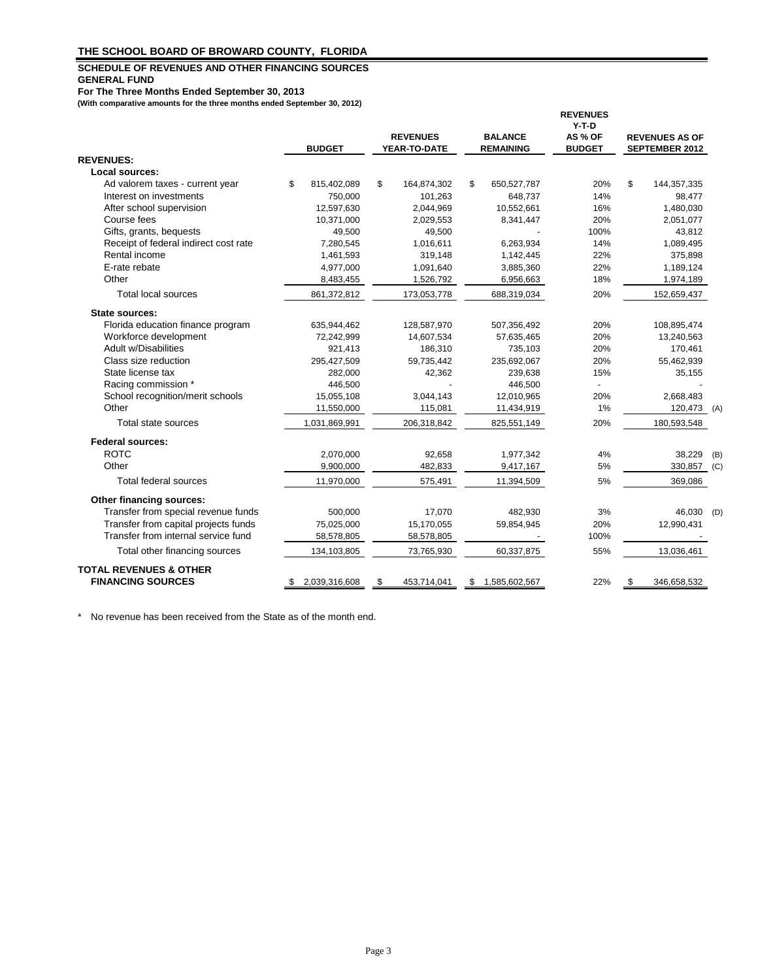### **SCHEDULE OF REVENUES AND OTHER FINANCING SOURCES GENERAL FUND**

**For The Three Months Ended September 30, 2013**

**(With comparative amounts for the three months ended September 30, 2012)**

|                                       |    | <b>BUDGET</b> | <b>REVENUES</b><br>YEAR-TO-DATE |    | <b>BALANCE</b><br><b>REMAINING</b> | <b>REVENUES</b><br>$Y-T-D$<br>AS % OF<br><b>BUDGET</b> | <b>REVENUES AS OF</b><br><b>SEPTEMBER 2012</b> |     |
|---------------------------------------|----|---------------|---------------------------------|----|------------------------------------|--------------------------------------------------------|------------------------------------------------|-----|
| <b>REVENUES:</b>                      |    |               |                                 |    |                                    |                                                        |                                                |     |
| Local sources:                        |    |               |                                 |    |                                    |                                                        |                                                |     |
| Ad valorem taxes - current year       | \$ | 815,402,089   | \$<br>164,874,302               | \$ | 650,527,787                        | 20%                                                    | \$<br>144, 357, 335                            |     |
| Interest on investments               |    | 750,000       | 101,263                         |    | 648,737                            | 14%                                                    | 98,477                                         |     |
| After school supervision              |    | 12,597,630    | 2,044,969                       |    | 10,552,661                         | 16%                                                    | 1,480,030                                      |     |
| Course fees                           |    | 10,371,000    | 2,029,553                       |    | 8,341,447                          | 20%                                                    | 2,051,077                                      |     |
| Gifts, grants, bequests               |    | 49,500        | 49,500                          |    |                                    | 100%                                                   | 43,812                                         |     |
| Receipt of federal indirect cost rate |    | 7,280,545     | 1,016,611                       |    | 6,263,934                          | 14%                                                    | 1,089,495                                      |     |
| Rental income                         |    | 1,461,593     | 319,148                         |    | 1,142,445                          | 22%                                                    | 375,898                                        |     |
| E-rate rebate                         |    | 4,977,000     | 1,091,640                       |    | 3,885,360                          | 22%                                                    | 1,189,124                                      |     |
| Other                                 |    | 8,483,455     | 1,526,792                       |    | 6,956,663                          | 18%                                                    | 1,974,189                                      |     |
| Total local sources                   |    | 861,372,812   | 173,053,778                     |    | 688,319,034                        | 20%                                                    | 152,659,437                                    |     |
| State sources:                        |    |               |                                 |    |                                    |                                                        |                                                |     |
| Florida education finance program     |    | 635,944,462   | 128,587,970                     |    | 507,356,492                        | 20%                                                    | 108,895,474                                    |     |
| Workforce development                 |    | 72,242,999    | 14,607,534                      |    | 57,635,465                         | 20%                                                    | 13,240,563                                     |     |
| <b>Adult w/Disabilities</b>           |    | 921,413       | 186,310                         |    | 735,103                            | 20%                                                    | 170,461                                        |     |
| Class size reduction                  |    | 295,427,509   | 59,735,442                      |    | 235,692,067                        | 20%                                                    | 55,462,939                                     |     |
| State license tax                     |    | 282,000       | 42,362                          |    | 239,638                            | 15%                                                    | 35,155                                         |     |
| Racing commission *                   |    | 446,500       |                                 |    | 446,500                            |                                                        |                                                |     |
| School recognition/merit schools      |    | 15,055,108    | 3,044,143                       |    | 12,010,965                         | 20%                                                    | 2,668,483                                      |     |
| Other                                 |    | 11,550,000    | 115,081                         |    | 11,434,919                         | 1%                                                     | 120,473 (A)                                    |     |
| Total state sources                   |    | 1,031,869,991 | 206,318,842                     |    | 825,551,149                        | 20%                                                    | 180,593,548                                    |     |
| <b>Federal sources:</b>               |    |               |                                 |    |                                    |                                                        |                                                |     |
| <b>ROTC</b>                           |    | 2,070,000     | 92,658                          |    | 1,977,342                          | 4%                                                     | 38,229                                         | (B) |
| Other                                 |    | 9,900,000     | 482,833                         |    | 9,417,167                          | 5%                                                     | 330,857 (C)                                    |     |
| Total federal sources                 |    | 11,970,000    | 575,491                         |    | 11,394,509                         | 5%                                                     | 369,086                                        |     |
| Other financing sources:              |    |               |                                 |    |                                    |                                                        |                                                |     |
| Transfer from special revenue funds   |    | 500,000       | 17,070                          |    | 482,930                            | 3%                                                     | 46,030                                         | (D) |
| Transfer from capital projects funds  |    | 75,025,000    | 15,170,055                      |    | 59,854,945                         | 20%                                                    | 12,990,431                                     |     |
| Transfer from internal service fund   |    | 58,578,805    | 58,578,805                      |    |                                    | 100%                                                   |                                                |     |
| Total other financing sources         |    | 134,103,805   | 73,765,930                      |    | 60,337,875                         | 55%                                                    | 13,036,461                                     |     |
| <b>TOTAL REVENUES &amp; OTHER</b>     |    |               |                                 |    |                                    |                                                        |                                                |     |
| <b>FINANCING SOURCES</b>              | S. | 2,039,316,608 | \$<br>453,714,041               | S  | 1,585,602,567                      | 22%                                                    | \$<br>346,658,532                              |     |

\* No revenue has been received from the State as of the month end.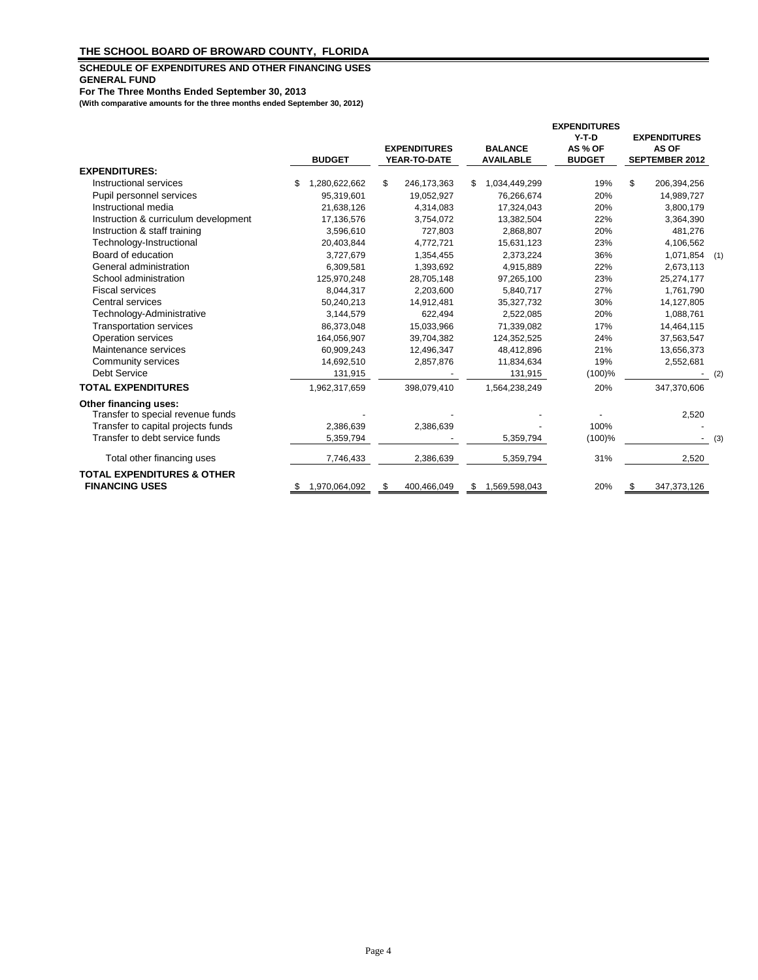### **SCHEDULE OF EXPENDITURES AND OTHER FINANCING USES GENERAL FUND**

**For The Three Months Ended September 30, 2013**

**(With comparative amounts for the three months ended September 30, 2012)**

|                                                                | <b>BUDGET</b>       | <b>EXPENDITURES</b><br>YEAR-TO-DATE |    | <b>BALANCE</b><br><b>AVAILABLE</b> | <b>EXPENDITURES</b><br>$Y-T-D$<br>AS % OF<br><b>BUDGET</b> | <b>EXPENDITURES</b><br>AS OF<br><b>SEPTEMBER 2012</b> |     |
|----------------------------------------------------------------|---------------------|-------------------------------------|----|------------------------------------|------------------------------------------------------------|-------------------------------------------------------|-----|
| <b>EXPENDITURES:</b>                                           |                     |                                     |    |                                    |                                                            |                                                       |     |
| Instructional services                                         | \$<br>1,280,622,662 | \$<br>246,173,363                   | S  | 1,034,449,299                      | 19%                                                        | \$<br>206,394,256                                     |     |
| Pupil personnel services                                       | 95,319,601          | 19,052,927                          |    | 76,266,674                         | 20%                                                        | 14,989,727                                            |     |
| Instructional media                                            | 21,638,126          | 4,314,083                           |    | 17,324,043                         | 20%                                                        | 3,800,179                                             |     |
| Instruction & curriculum development                           | 17,136,576          | 3,754,072                           |    | 13,382,504                         | 22%                                                        | 3,364,390                                             |     |
| Instruction & staff training                                   | 3,596,610           | 727,803                             |    | 2,868,807                          | 20%                                                        | 481,276                                               |     |
| Technology-Instructional                                       | 20,403,844          | 4,772,721                           |    | 15,631,123                         | 23%                                                        | 4,106,562                                             |     |
| Board of education                                             | 3,727,679           | 1,354,455                           |    | 2,373,224                          | 36%                                                        | $1,071,854$ (1)                                       |     |
| General administration                                         | 6,309,581           | 1,393,692                           |    | 4,915,889                          | 22%                                                        | 2,673,113                                             |     |
| School administration                                          | 125,970,248         | 28,705,148                          |    | 97,265,100                         | 23%                                                        | 25,274,177                                            |     |
| <b>Fiscal services</b>                                         | 8,044,317           | 2,203,600                           |    | 5,840,717                          | 27%                                                        | 1,761,790                                             |     |
| Central services                                               | 50,240,213          | 14,912,481                          |    | 35,327,732                         | 30%                                                        | 14,127,805                                            |     |
| Technology-Administrative                                      | 3,144,579           | 622,494                             |    | 2,522,085                          | 20%                                                        | 1,088,761                                             |     |
| <b>Transportation services</b>                                 | 86,373,048          | 15,033,966                          |    | 71,339,082                         | 17%                                                        | 14,464,115                                            |     |
| Operation services                                             | 164,056,907         | 39,704,382                          |    | 124,352,525                        | 24%                                                        | 37,563,547                                            |     |
| Maintenance services                                           | 60,909,243          | 12,496,347                          |    | 48,412,896                         | 21%                                                        | 13,656,373                                            |     |
| Community services                                             | 14,692,510          | 2,857,876                           |    | 11,834,634                         | 19%                                                        | 2,552,681                                             |     |
| <b>Debt Service</b>                                            | 131,915             |                                     |    | 131,915                            | (100)%                                                     |                                                       | (2) |
| <b>TOTAL EXPENDITURES</b>                                      | 1,962,317,659       | 398,079,410                         |    | 1,564,238,249                      | 20%                                                        | 347,370,606                                           |     |
| Other financing uses:<br>Transfer to special revenue funds     |                     |                                     |    |                                    |                                                            | 2,520                                                 |     |
| Transfer to capital projects funds                             | 2,386,639           | 2,386,639                           |    |                                    | 100%                                                       |                                                       |     |
| Transfer to debt service funds                                 | 5,359,794           |                                     |    | 5,359,794                          | $(100)$ %                                                  |                                                       | (3) |
|                                                                |                     |                                     |    |                                    |                                                            |                                                       |     |
| Total other financing uses                                     | 7,746,433           | 2,386,639                           |    | 5,359,794                          | 31%                                                        | 2,520                                                 |     |
| <b>TOTAL EXPENDITURES &amp; OTHER</b><br><b>FINANCING USES</b> | 1,970,064,092       | \$<br>400,466,049                   | \$ | 1,569,598,043                      | 20%                                                        | \$<br>347,373,126                                     |     |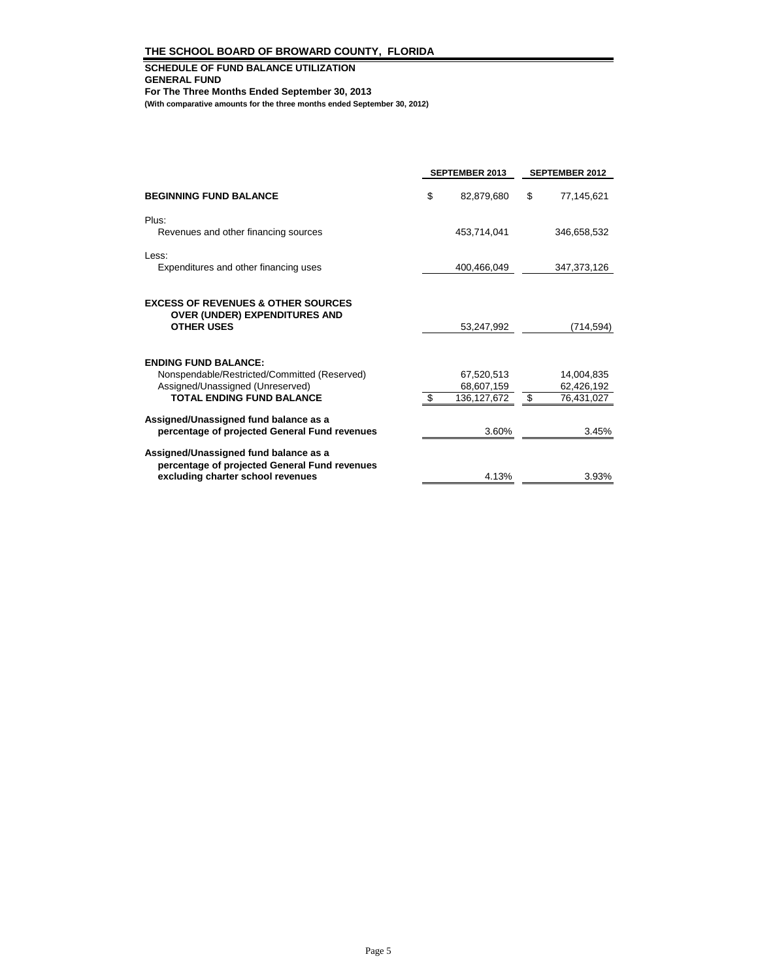#### **SCHEDULE OF FUND BALANCE UTILIZATION GENERAL FUND For The Three Months Ended September 30, 2013 (With comparative amounts for the three months ended September 30, 2012)**

|                                               | <b>SEPTEMBER 2013</b> | <b>SEPTEMBER 2012</b> |
|-----------------------------------------------|-----------------------|-----------------------|
| <b>BEGINNING FUND BALANCE</b>                 | \$<br>82,879,680      | \$<br>77,145,621      |
| Plus:                                         |                       |                       |
| Revenues and other financing sources          | 453,714,041           | 346.658.532           |
| Less:                                         |                       |                       |
| Expenditures and other financing uses         | 400,466,049           | 347,373,126           |
|                                               |                       |                       |
| <b>EXCESS OF REVENUES &amp; OTHER SOURCES</b> |                       |                       |
| <b>OVER (UNDER) EXPENDITURES AND</b>          |                       |                       |
| <b>OTHER USES</b>                             | 53,247,992            | (714,594)             |
|                                               |                       |                       |
| <b>ENDING FUND BALANCE:</b>                   |                       |                       |
| Nonspendable/Restricted/Committed (Reserved)  | 67,520,513            | 14,004,835            |
| Assigned/Unassigned (Unreserved)              | 68,607,159            | 62,426,192            |
| <b>TOTAL ENDING FUND BALANCE</b>              | \$<br>136,127,672     | \$<br>76,431,027      |
| Assigned/Unassigned fund balance as a         |                       |                       |
| percentage of projected General Fund revenues | 3.60%                 | 3.45%                 |
| Assigned/Unassigned fund balance as a         |                       |                       |
| percentage of projected General Fund revenues |                       |                       |
| excluding charter school revenues             | 4.13%                 | 3.93%                 |